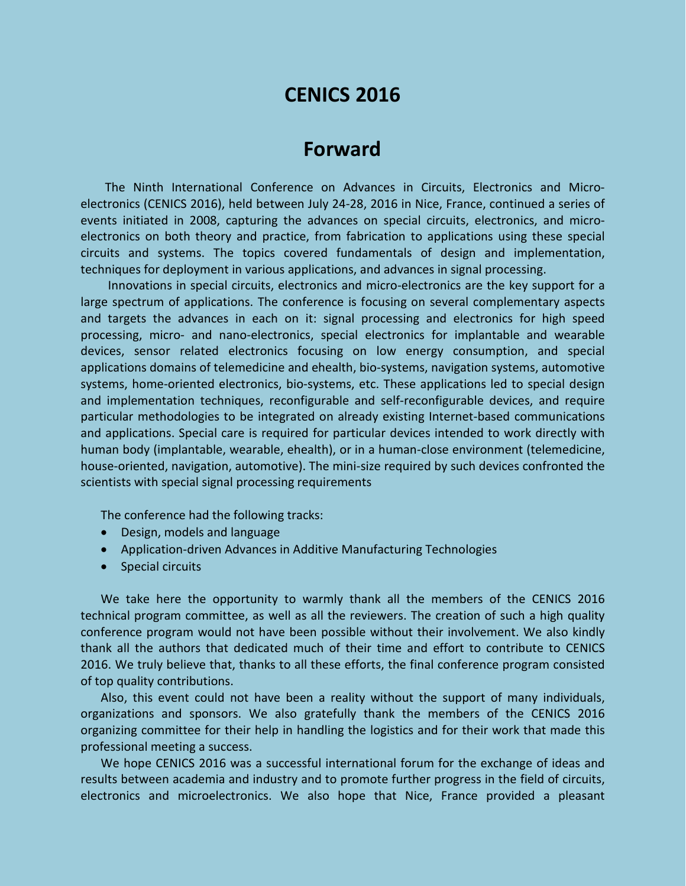# **CENICS 2016**

## **Forward**

The Ninth International Conference on Advances in Circuits, Electronics and Microelectronics (CENICS 2016), held between July 24-28, 2016 in Nice, France, continued a series of events initiated in 2008, capturing the advances on special circuits, electronics, and microelectronics on both theory and practice, from fabrication to applications using these special circuits and systems. The topics covered fundamentals of design and implementation, techniques for deployment in various applications, and advances in signal processing.

Innovations in special circuits, electronics and micro-electronics are the key support for a large spectrum of applications. The conference is focusing on several complementary aspects and targets the advances in each on it: signal processing and electronics for high speed processing, micro- and nano-electronics, special electronics for implantable and wearable devices, sensor related electronics focusing on low energy consumption, and special applications domains of telemedicine and ehealth, bio-systems, navigation systems, automotive systems, home-oriented electronics, bio-systems, etc. These applications led to special design and implementation techniques, reconfigurable and self-reconfigurable devices, and require particular methodologies to be integrated on already existing Internet-based communications and applications. Special care is required for particular devices intended to work directly with human body (implantable, wearable, ehealth), or in a human-close environment (telemedicine, house-oriented, navigation, automotive). The mini-size required by such devices confronted the scientists with special signal processing requirements

The conference had the following tracks:

- Design, models and language
- Application-driven Advances in Additive Manufacturing Technologies
- Special circuits

We take here the opportunity to warmly thank all the members of the CENICS 2016 technical program committee, as well as all the reviewers. The creation of such a high quality conference program would not have been possible without their involvement. We also kindly thank all the authors that dedicated much of their time and effort to contribute to CENICS 2016. We truly believe that, thanks to all these efforts, the final conference program consisted of top quality contributions.

Also, this event could not have been a reality without the support of many individuals, organizations and sponsors. We also gratefully thank the members of the CENICS 2016 organizing committee for their help in handling the logistics and for their work that made this professional meeting a success.

We hope CENICS 2016 was a successful international forum for the exchange of ideas and results between academia and industry and to promote further progress in the field of circuits, electronics and microelectronics. We also hope that Nice, France provided a pleasant